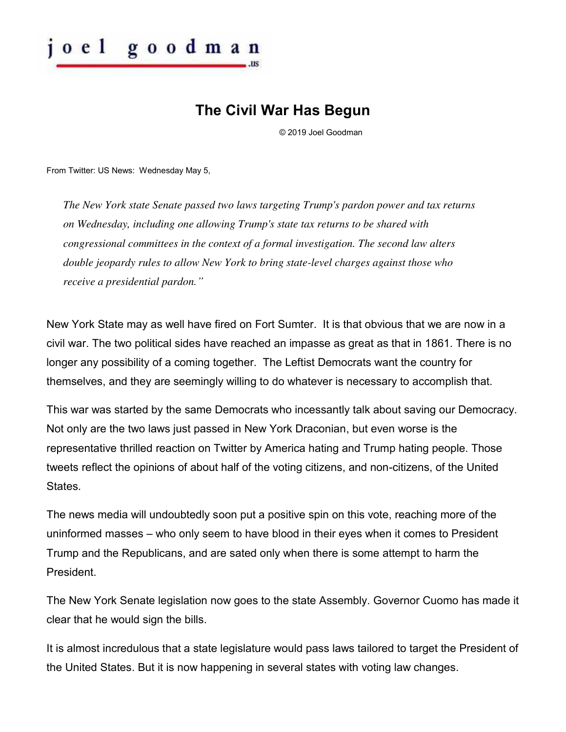

## **The Civil War Has Begun**

© 2019 Joel Goodman

From Twitter: US News: Wednesday May 5,

*The New York state Senate passed two laws targeting Trump's pardon power and tax returns on Wednesday, including one allowing Trump's state tax returns to be shared with congressional committees in the context of a formal investigation. The second law alters double jeopardy rules to allow New York to bring state-level charges against those who receive a presidential pardon."*

New York State may as well have fired on Fort Sumter. It is that obvious that we are now in a civil war. The two political sides have reached an impasse as great as that in 1861. There is no longer any possibility of a coming together. The Leftist Democrats want the country for themselves, and they are seemingly willing to do whatever is necessary to accomplish that.

This war was started by the same Democrats who incessantly talk about saving our Democracy. Not only are the two laws just passed in New York Draconian, but even worse is the representative thrilled reaction on Twitter by America hating and Trump hating people. Those tweets reflect the opinions of about half of the voting citizens, and non-citizens, of the United **States** 

The news media will undoubtedly soon put a positive spin on this vote, reaching more of the uninformed masses – who only seem to have blood in their eyes when it comes to President Trump and the Republicans, and are sated only when there is some attempt to harm the President.

The New York Senate legislation now goes to the state Assembly. Governor Cuomo has made it clear that he would sign the bills.

It is almost incredulous that a state legislature would pass laws tailored to target the President of the United States. But it is now happening in several states with voting law changes.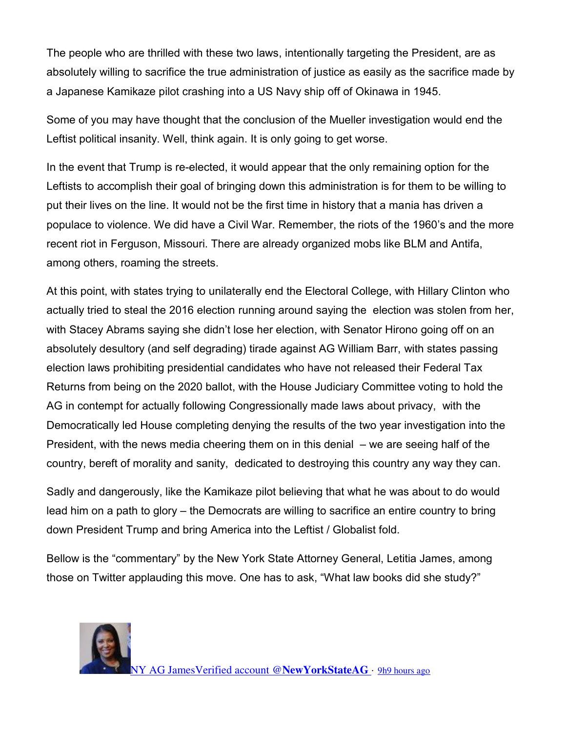The people who are thrilled with these two laws, intentionally targeting the President, are as absolutely willing to sacrifice the true administration of justice as easily as the sacrifice made by a Japanese Kamikaze pilot crashing into a US Navy ship off of Okinawa in 1945.

Some of you may have thought that the conclusion of the Mueller investigation would end the Leftist political insanity. Well, think again. It is only going to get worse.

In the event that Trump is re-elected, it would appear that the only remaining option for the Leftists to accomplish their goal of bringing down this administration is for them to be willing to put their lives on the line. It would not be the first time in history that a mania has driven a populace to violence. We did have a Civil War. Remember, the riots of the 1960's and the more recent riot in Ferguson, Missouri. There are already organized mobs like BLM and Antifa, among others, roaming the streets.

At this point, with states trying to unilaterally end the Electoral College, with Hillary Clinton who actually tried to steal the 2016 election running around saying the election was stolen from her, with Stacey Abrams saying she didn't lose her election, with Senator Hirono going off on an absolutely desultory (and self degrading) tirade against AG William Barr, with states passing election laws prohibiting presidential candidates who have not released their Federal Tax Returns from being on the 2020 ballot, with the House Judiciary Committee voting to hold the AG in contempt for actually following Congressionally made laws about privacy, with the Democratically led House completing denying the results of the two year investigation into the President, with the news media cheering them on in this denial – we are seeing half of the country, bereft of morality and sanity, dedicated to destroying this country any way they can.

Sadly and dangerously, like the Kamikaze pilot believing that what he was about to do would lead him on a path to glory – the Democrats are willing to sacrifice an entire country to bring down President Trump and bring America into the Leftist / Globalist fold.

Bellow is the "commentary" by the New York State Attorney General, Letitia James, among those on Twitter applauding this move. One has to ask, "What law books did she study?"

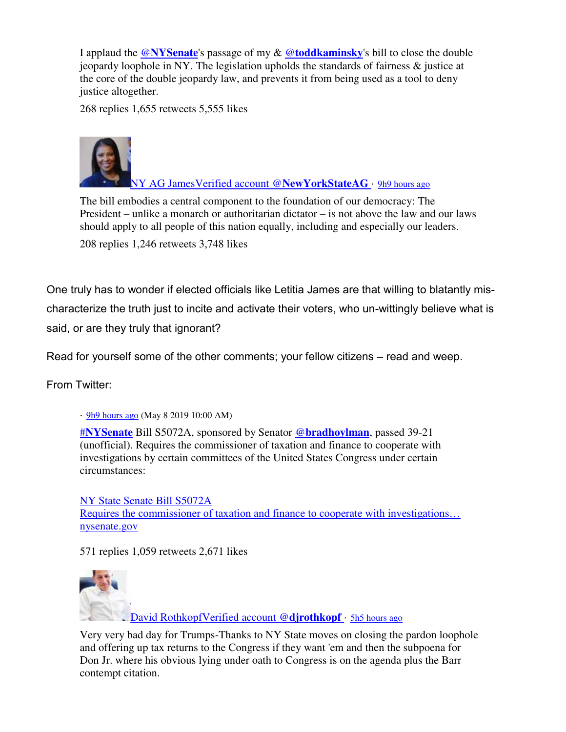I applaud the @**[NYSenate](https://twitter.com/NYSenate)**'s passage of my & @**[toddkaminsky](https://twitter.com/toddkaminsky)**'s bill to close the double jeopardy loophole in NY. The legislation upholds the standards of fairness  $\&$  justice at the core of the double jeopardy law, and prevents it from being used as a tool to deny justice altogether.

268 replies 1,655 retweets 5,555 likes



[NY AG JamesVerified account @](https://twitter.com/NewYorkStateAG)**NewYorkStateAG** · [9h9 hours ago](https://twitter.com/NewYorkStateAG/status/1126173817351569409)

The bill embodies a central component to the foundation of our democracy: The President – unlike a monarch or authoritarian dictator – is not above the law and our laws should apply to all people of this nation equally, including and especially our leaders.

208 replies 1,246 retweets 3,748 likes

One truly has to wonder if elected officials like Letitia James are that willing to blatantly mischaracterize the truth just to incite and activate their voters, who un-wittingly believe what is said, or are they truly that ignorant?

Read for yourself some of the other comments; your fellow citizens – read and weep.

From Twitter:

· [9h9 hours ago](https://twitter.com/NYSenate/status/1126176050495524865) (May 8 2019 10:00 AM)

#**[NYSenate](https://twitter.com/hashtag/NYSenate?src=hash)** Bill S5072A, sponsored by Senator @**[bradhoylman](https://twitter.com/bradhoylman)**, passed 39-21 (unofficial). Requires the commissioner of taxation and finance to cooperate with investigations by certain committees of the United States Congress under certain circumstances:

[NY State Senate Bill S5072A](https://www.nysenate.gov/legislation/bills/2019/s5072/amendment/a) [Requires the commissioner of taxation and finance to cooperate with investigations…](https://www.nysenate.gov/legislation/bills/2019/s5072/amendment/a) [nysenate.gov](https://www.nysenate.gov/legislation/bills/2019/s5072/amendment/a) 

571 replies 1,059 retweets 2,671 likes



[David RothkopfVerified account @](https://twitter.com/djrothkopf)**djrothkopf** · [5h5 hours ago](https://twitter.com/djrothkopf/status/1126233207303749636)

Very very bad day for Trumps-Thanks to NY State moves on closing the pardon loophole and offering up tax returns to the Congress if they want 'em and then the subpoena for Don Jr. where his obvious lying under oath to Congress is on the agenda plus the Barr contempt citation.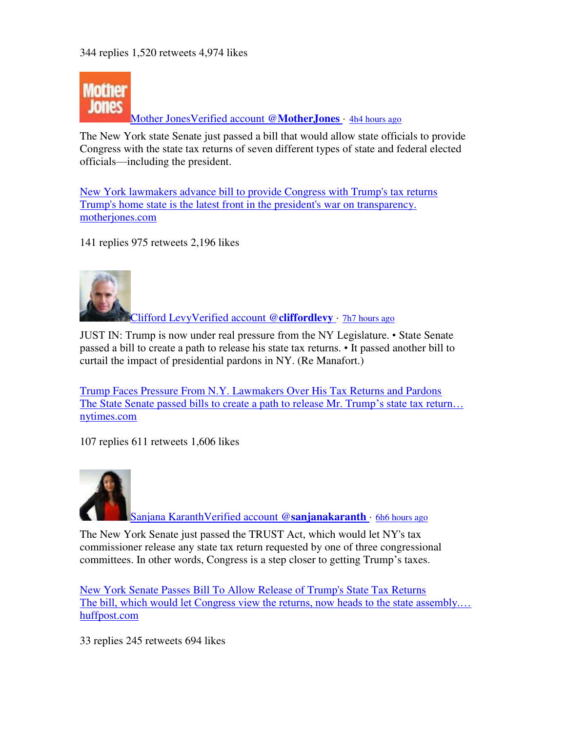

[Mother JonesVerified account @](https://twitter.com/MotherJones)**MotherJones** · [4h4 hours ago](https://twitter.com/MotherJones/status/1126245901545148416)

The New York state Senate just passed a bill that would allow state officials to provide Congress with the state tax returns of seven different types of state and federal elected officials—including the president.

[New York lawmakers advance bill to provide Congress with Trump's tax returns](https://www.motherjones.com/politics/2019/05/new-york-lawmakers-advance-bill-to-provide-congress-with-trumps-tax-returns/) [Trump's home state is the latest front in the president's war on transparency.](https://www.motherjones.com/politics/2019/05/new-york-lawmakers-advance-bill-to-provide-congress-with-trumps-tax-returns/)  [motherjones.com](https://www.motherjones.com/politics/2019/05/new-york-lawmakers-advance-bill-to-provide-congress-with-trumps-tax-returns/) 

141 replies 975 retweets 2,196 likes



[Clifford LevyVerified account @](https://twitter.com/cliffordlevy)**cliffordlevy** · [7h7 hours ago](https://twitter.com/cliffordlevy/status/1126201251396489216)

JUST IN: Trump is now under real pressure from the NY Legislature. • State Senate passed a bill to create a path to release his state tax returns. • It passed another bill to curtail the impact of presidential pardons in NY. (Re Manafort.)

[Trump Faces Pressure From N.Y. Lawmakers Over His Tax Returns and Pardons](https://www.nytimes.com/2019/05/08/nyregion/trump-ny-tax-returns-manafort.html) [The State Senate passed bills to create a path to release Mr. Trump](https://www.nytimes.com/2019/05/08/nyregion/trump-ny-tax-returns-manafort.html)'s state tax return... [nytimes.com](https://www.nytimes.com/2019/05/08/nyregion/trump-ny-tax-returns-manafort.html) 

107 replies 611 retweets 1,606 likes



[Sanjana KaranthVerified account @](https://twitter.com/sanjanakaranth)**sanjanakaranth** · [6h6 hours ago](https://twitter.com/sanjanakaranth/status/1126208198480990208)

The New York Senate just passed the TRUST Act, which would let NY's tax commissioner release any state tax return requested by one of three congressional committees. In other words, Congress is a step closer to getting Trump's taxes.

[New York Senate Passes Bill To Allow Release of Trump's State Tax Returns](https://www.huffpost.com/entry/new-york-senate-passes-bill-trump-taxes_n_5cd23e0be4b0e524a47c9c24?ncid=engmodushpmg00000004) [The bill, which would let Congress view the returns, now heads to the state assembly.…](https://www.huffpost.com/entry/new-york-senate-passes-bill-trump-taxes_n_5cd23e0be4b0e524a47c9c24?ncid=engmodushpmg00000004) [huffpost.com](https://www.huffpost.com/entry/new-york-senate-passes-bill-trump-taxes_n_5cd23e0be4b0e524a47c9c24?ncid=engmodushpmg00000004) 

33 replies 245 retweets 694 likes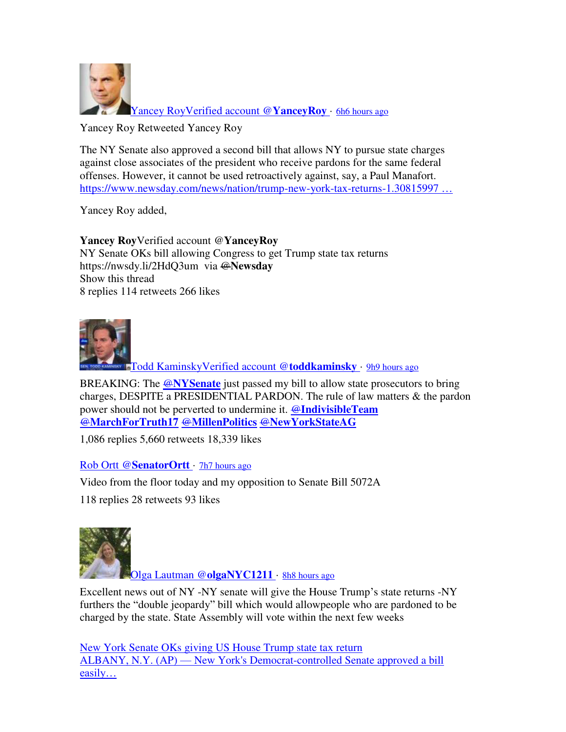

**[Yancey RoyVerified account @](https://twitter.com/YanceyRoy)YanceyRoy** · [6h6 hours ago](https://twitter.com/YanceyRoy/status/1126213974297542657)

Yancey Roy Retweeted Yancey Roy

The NY Senate also approved a second bill that allows NY to pursue state charges against close associates of the president who receive pardons for the same federal offenses. However, it cannot be used retroactively against, say, a Paul Manafort. [https://www.newsday.com/news/nation/trump-new-york-tax-returns-1.30815997](https://t.co/M078E4Iaex) ...

Yancey Roy added,

**Yancey Roy**Verified account @**YanceyRoy** NY Senate OKs bill allowing Congress to get Trump state tax returns https://nwsdy.li/2HdQ3um via @**Newsday** Show this thread 8 replies 114 retweets 266 likes



[Todd KaminskyVerified account @](https://twitter.com/toddkaminsky)**toddkaminsky** · [9h9 hours ago](https://twitter.com/toddkaminsky/status/1126165290449084420)

BREAKING: The @**[NYSenate](https://twitter.com/NYSenate)** just passed my bill to allow state prosecutors to bring charges, DESPITE a PRESIDENTIAL PARDON. The rule of law matters & the pardon power should not be perverted to undermine it. @**[IndivisibleTeam](https://twitter.com/IndivisibleTeam)** @**[MarchForTruth17](https://twitter.com/MarchForTruth17)** @**[MillenPolitics](https://twitter.com/MillenPolitics)** @**[NewYorkStateAG](https://twitter.com/NewYorkStateAG)**

1,086 replies 5,660 retweets 18,339 likes

Rob Ortt @**[SenatorOrtt](https://twitter.com/SenatorOrtt)** · [7h7 hours ago](https://twitter.com/SenatorOrtt/status/1126206719531601921)

Video from the floor today and my opposition to Senate Bill 5072A

118 replies 28 retweets 93 likes



[Olga Lautman @](https://twitter.com/olgaNYC1211)**olgaNYC1211** · [8h8 hours ago](https://twitter.com/olgaNYC1211/status/1126185705531695107)

Excellent news out of NY -NY senate will give the House Trump's state returns -NY furthers the "double jeopardy" bill which would allowpeople who are pardoned to be charged by the state. State Assembly will vote within the next few weeks

[New York Senate OKs giving US House Trump state tax return](https://news.yahoo.com/ny-lawmakers-jump-fight-over-trump-tax-returns-094903609.html?soc_src=hl-viewer&soc_trk=tw) ALBANY, N.Y. (AP) — [New York's Democrat-controlled Senate approved a bill](https://news.yahoo.com/ny-lawmakers-jump-fight-over-trump-tax-returns-094903609.html?soc_src=hl-viewer&soc_trk=tw)  [easily…](https://news.yahoo.com/ny-lawmakers-jump-fight-over-trump-tax-returns-094903609.html?soc_src=hl-viewer&soc_trk=tw)